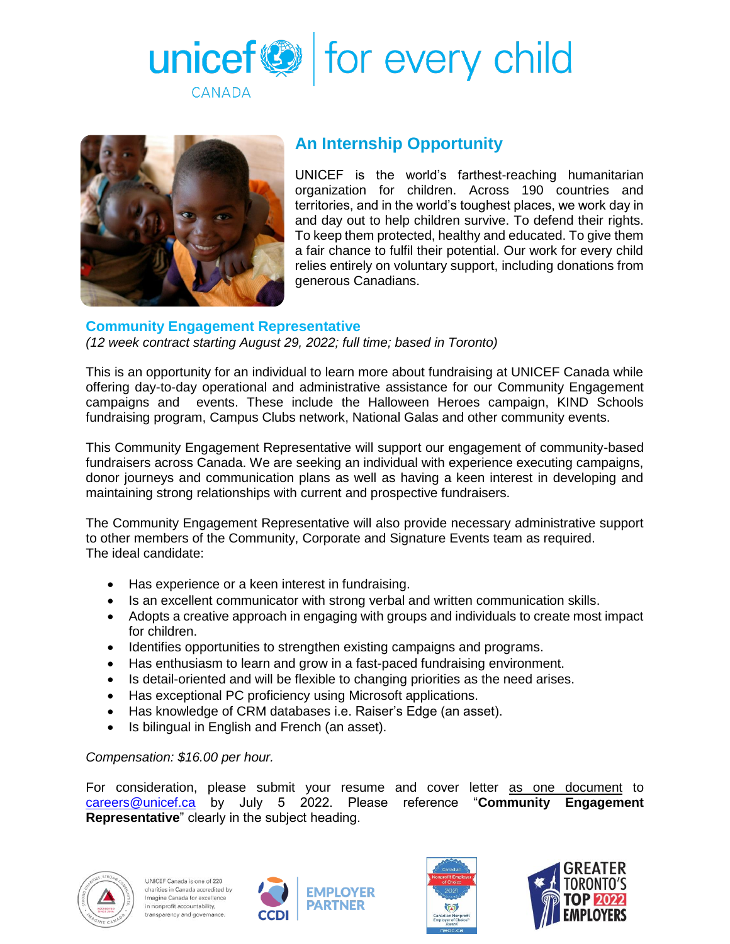



## **An Internship Opportunity**

UNICEF is the world's farthest-reaching humanitarian organization for children. Across 190 countries and territories, and in the world's toughest places, we work day in and day out to help children survive. To defend their rights. To keep them protected, healthy and educated. To give them a fair chance to fulfil their potential. Our work for every child relies entirely on voluntary support, including donations from generous Canadians.

## **Community Engagement Representative**

*(12 week contract starting August 29, 2022; full time; based in Toronto)*

This is an opportunity for an individual to learn more about fundraising at UNICEF Canada while offering day-to-day operational and administrative assistance for our Community Engagement campaigns and events. These include the Halloween Heroes campaign, KIND Schools fundraising program, Campus Clubs network, National Galas and other community events.

This Community Engagement Representative will support our engagement of community-based fundraisers across Canada. We are seeking an individual with experience executing campaigns, donor journeys and communication plans as well as having a keen interest in developing and maintaining strong relationships with current and prospective fundraisers.

The Community Engagement Representative will also provide necessary administrative support to other members of the Community, Corporate and Signature Events team as required. The ideal candidate:

- Has experience or a keen interest in fundraising.
- Is an excellent communicator with strong verbal and written communication skills.
- Adopts a creative approach in engaging with groups and individuals to create most impact for children.
- Identifies opportunities to strengthen existing campaigns and programs.
- Has enthusiasm to learn and grow in a fast-paced fundraising environment.
- Is detail-oriented and will be flexible to changing priorities as the need arises.
- Has exceptional PC proficiency using Microsoft applications.
- Has knowledge of CRM databases i.e. Raiser's Edge (an asset).
- Is bilingual in English and French (an asset).

## *Compensation: \$16.00 per hour.*

For consideration, please submit your resume and cover letter as one document to [careers@unicef.ca](mailto:careers@unicef.ca) by July 5 2022. Please reference "**Community Engagement Representative**" clearly in the subject heading.